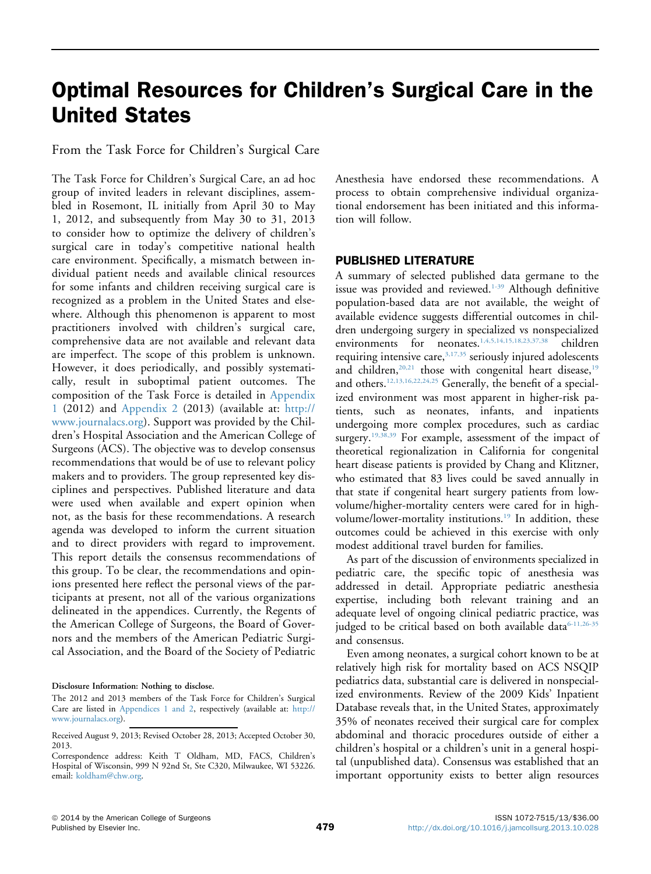# Optimal Resources for Children's Surgical Care in the United States

From the Task Force for Children's Surgical Care

The Task Force for Children's Surgical Care, an ad hoc group of invited leaders in relevant disciplines, assembled in Rosemont, IL initially from April 30 to May 1, 2012, and subsequently from May 30 to 31, 2013 to consider how to optimize the delivery of children's surgical care in today's competitive national health care environment. Specifically, a mismatch between individual patient needs and available clinical resources for some infants and children receiving surgical care is recognized as a problem in the United States and elsewhere. Although this phenomenon is apparent to most practitioners involved with children's surgical care, comprehensive data are not available and relevant data are imperfect. The scope of this problem is unknown. However, it does periodically, and possibly systematically, result in suboptimal patient outcomes. The composition of the Task Force is detailed in [Appendix](#page-9-0) [1](#page-9-0) (2012) and [Appendix 2](#page-11-0) (2013) (available at: [http://](http://www.journalacs.org) [www.journalacs.org\)](http://www.journalacs.org). Support was provided by the Children's Hospital Association and the American College of Surgeons (ACS). The objective was to develop consensus recommendations that would be of use to relevant policy makers and to providers. The group represented key disciplines and perspectives. Published literature and data were used when available and expert opinion when not, as the basis for these recommendations. A research agenda was developed to inform the current situation and to direct providers with regard to improvement. This report details the consensus recommendations of this group. To be clear, the recommendations and opinions presented here reflect the personal views of the participants at present, not all of the various organizations delineated in the appendices. Currently, the Regents of the American College of Surgeons, the Board of Governors and the members of the American Pediatric Surgical Association, and the Board of the Society of Pediatric

Disclosure Information: Nothing to disclose.

Anesthesia have endorsed these recommendations. A process to obtain comprehensive individual organizational endorsement has been initiated and this information will follow.

## PUBLISHED LITERATURE

A summary of selected published data germane to the issue was provided and reviewed.<sup>[1-39](#page-7-0)</sup> Although definitive population-based data are not available, the weight of available evidence suggests differential outcomes in children undergoing surgery in specialized vs nonspecialized environments for neonates.<sup>[1,4,5,14,15,18,23,37,38](#page-7-0)</sup> children requiring intensive care,  $3,17,35$  seriously injured adolescents and children,<sup>[20,21](#page-7-0)</sup> those with congenital heart disease,<sup>[19](#page-7-0)</sup> and others[.12,13,16,22,24,25](#page-7-0) Generally, the benefit of a specialized environment was most apparent in higher-risk patients, such as neonates, infants, and inpatients undergoing more complex procedures, such as cardiac surgery.<sup>[19,38,39](#page-7-0)</sup> For example, assessment of the impact of theoretical regionalization in California for congenital heart disease patients is provided by Chang and Klitzner, who estimated that 83 lives could be saved annually in that state if congenital heart surgery patients from lowvolume/higher-mortality centers were cared for in high-volume/lower-mortality institutions.<sup>[19](#page-7-0)</sup> In addition, these outcomes could be achieved in this exercise with only modest additional travel burden for families.

As part of the discussion of environments specialized in pediatric care, the specific topic of anesthesia was addressed in detail. Appropriate pediatric anesthesia expertise, including both relevant training and an adequate level of ongoing clinical pediatric practice, was judged to be critical based on both available data<sup>6-11,26-35</sup> and consensus.

Even among neonates, a surgical cohort known to be at relatively high risk for mortality based on ACS NSQIP pediatrics data, substantial care is delivered in nonspecialized environments. Review of the 2009 Kids' Inpatient Database reveals that, in the United States, approximately 35% of neonates received their surgical care for complex abdominal and thoracic procedures outside of either a children's hospital or a children's unit in a general hospital (unpublished data). Consensus was established that an important opportunity exists to better align resources

The 2012 and 2013 members of the Task Force for Children's Surgical Care are listed in [Appendices 1 and 2](#page-9-0), respectively (available at: [http://](http://www.journalacs.org) [www.journalacs.org\)](http://www.journalacs.org).

Received August 9, 2013; Revised October 28, 2013; Accepted October 30, 2013.

Correspondence address: Keith T Oldham, MD, FACS, Children's Hospital of Wisconsin, 999 N 92nd St, Ste C320, Milwaukee, WI 53226. email: [koldham@chw.org](mailto:koldham@chw.org).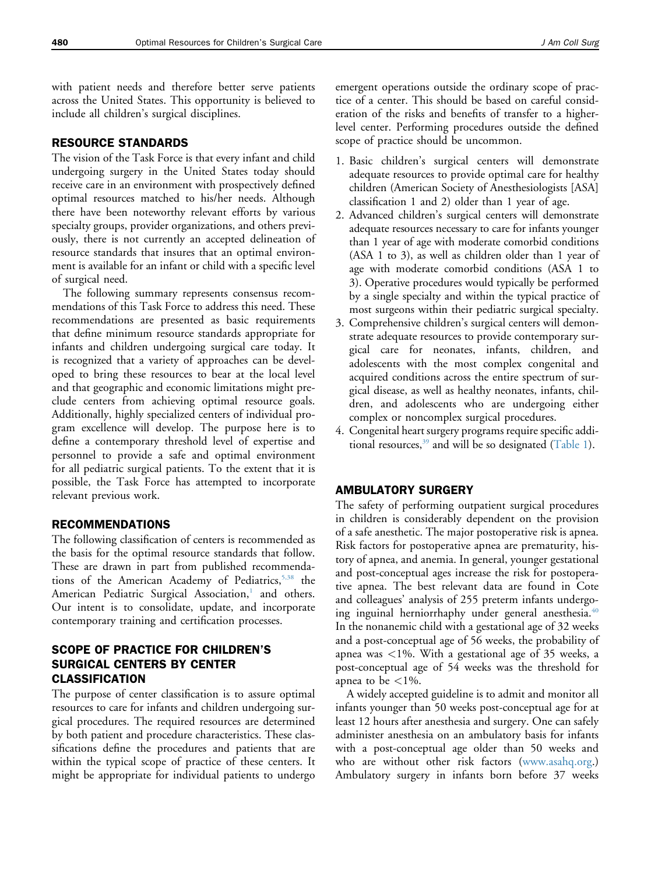with patient needs and therefore better serve patients across the United States. This opportunity is believed to include all children's surgical disciplines.

## RESOURCE STANDARDS

The vision of the Task Force is that every infant and child undergoing surgery in the United States today should receive care in an environment with prospectively defined optimal resources matched to his/her needs. Although there have been noteworthy relevant efforts by various specialty groups, provider organizations, and others previously, there is not currently an accepted delineation of resource standards that insures that an optimal environment is available for an infant or child with a specific level of surgical need.

The following summary represents consensus recommendations of this Task Force to address this need. These recommendations are presented as basic requirements that define minimum resource standards appropriate for infants and children undergoing surgical care today. It is recognized that a variety of approaches can be developed to bring these resources to bear at the local level and that geographic and economic limitations might preclude centers from achieving optimal resource goals. Additionally, highly specialized centers of individual program excellence will develop. The purpose here is to define a contemporary threshold level of expertise and personnel to provide a safe and optimal environment for all pediatric surgical patients. To the extent that it is possible, the Task Force has attempted to incorporate relevant previous work.

#### RECOMMENDATIONS

The following classification of centers is recommended as the basis for the optimal resource standards that follow. These are drawn in part from published recommendations of the American Academy of Pediatrics,<sup>5,38</sup> the American Pediatric Surgical Association,<sup>[1](#page-7-0)</sup> and others. Our intent is to consolidate, update, and incorporate contemporary training and certification processes.

# SCOPE OF PRACTICE FOR CHILDREN'S SURGICAL CENTERS BY CENTER CLASSIFICATION

The purpose of center classification is to assure optimal resources to care for infants and children undergoing surgical procedures. The required resources are determined by both patient and procedure characteristics. These classifications define the procedures and patients that are within the typical scope of practice of these centers. It might be appropriate for individual patients to undergo emergent operations outside the ordinary scope of practice of a center. This should be based on careful consideration of the risks and benefits of transfer to a higherlevel center. Performing procedures outside the defined scope of practice should be uncommon.

- 1. Basic children's surgical centers will demonstrate adequate resources to provide optimal care for healthy children (American Society of Anesthesiologists [ASA] classification 1 and 2) older than 1 year of age.
- 2. Advanced children's surgical centers will demonstrate adequate resources necessary to care for infants younger than 1 year of age with moderate comorbid conditions (ASA 1 to 3), as well as children older than 1 year of age with moderate comorbid conditions (ASA 1 to 3). Operative procedures would typically be performed by a single specialty and within the typical practice of most surgeons within their pediatric surgical specialty.
- 3. Comprehensive children's surgical centers will demonstrate adequate resources to provide contemporary surgical care for neonates, infants, children, and adolescents with the most complex congenital and acquired conditions across the entire spectrum of surgical disease, as well as healthy neonates, infants, children, and adolescents who are undergoing either complex or noncomplex surgical procedures.
- 4. Congenital heart surgery programs require specific additional resources,  $39$  and will be so designated [\(Table 1\)](#page-2-0).

## AMBULATORY SURGERY

The safety of performing outpatient surgical procedures in children is considerably dependent on the provision of a safe anesthetic. The major postoperative risk is apnea. Risk factors for postoperative apnea are prematurity, history of apnea, and anemia. In general, younger gestational and post-conceptual ages increase the risk for postoperative apnea. The best relevant data are found in Cote and colleagues' analysis of 255 preterm infants undergo-ing inguinal herniorrhaphy under general anesthesia.<sup>[40](#page-8-0)</sup> In the nonanemic child with a gestational age of 32 weeks and a post-conceptual age of 56 weeks, the probability of apnea was <1%. With a gestational age of 35 weeks, a post-conceptual age of 54 weeks was the threshold for apnea to be  $\lt 1\%$ .

A widely accepted guideline is to admit and monitor all infants younger than 50 weeks post-conceptual age for at least 12 hours after anesthesia and surgery. One can safely administer anesthesia on an ambulatory basis for infants with a post-conceptual age older than 50 weeks and who are without other risk factors ([www.asahq.org](http://www.asahq.org).) Ambulatory surgery in infants born before 37 weeks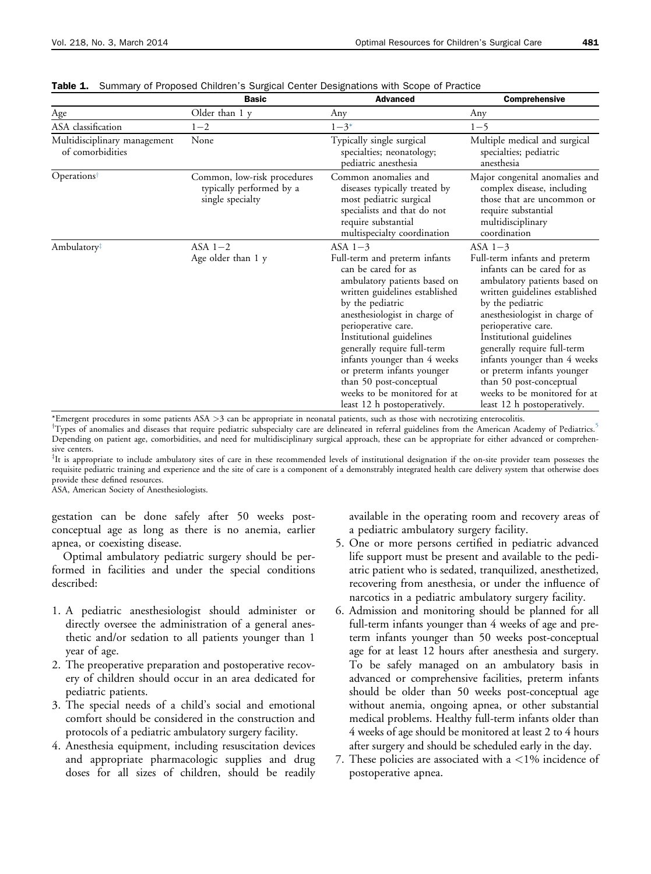|                                                  | <b>Basic</b>                                                                | <b>Advanced</b>                                                                                                                                                                                                                                                                                                                                                                                                                    | Comprehensive                                                                                                                                                                                                                                                                                                                                                                                                                              |
|--------------------------------------------------|-----------------------------------------------------------------------------|------------------------------------------------------------------------------------------------------------------------------------------------------------------------------------------------------------------------------------------------------------------------------------------------------------------------------------------------------------------------------------------------------------------------------------|--------------------------------------------------------------------------------------------------------------------------------------------------------------------------------------------------------------------------------------------------------------------------------------------------------------------------------------------------------------------------------------------------------------------------------------------|
| Age                                              | Older than $1 y$                                                            | Any                                                                                                                                                                                                                                                                                                                                                                                                                                | Any                                                                                                                                                                                                                                                                                                                                                                                                                                        |
| ASA classification                               | $1 - 2$                                                                     | $1 - 3^*$                                                                                                                                                                                                                                                                                                                                                                                                                          | $1 - 5$                                                                                                                                                                                                                                                                                                                                                                                                                                    |
| Multidisciplinary management<br>of comorbidities | None                                                                        | Typically single surgical<br>specialties; neonatology;<br>pediatric anesthesia                                                                                                                                                                                                                                                                                                                                                     | Multiple medical and surgical<br>specialties; pediatric<br>anesthesia                                                                                                                                                                                                                                                                                                                                                                      |
| Operations <sup>†</sup>                          | Common, low-risk procedures<br>typically performed by a<br>single specialty | Common anomalies and<br>diseases typically treated by<br>most pediatric surgical<br>specialists and that do not<br>require substantial<br>multispecialty coordination                                                                                                                                                                                                                                                              | Major congenital anomalies and<br>complex disease, including<br>those that are uncommon or<br>require substantial<br>multidisciplinary<br>coordination                                                                                                                                                                                                                                                                                     |
| Ambulatory <sup>‡</sup>                          | ASA $1-2$<br>Age older than 1 y                                             | ASA $1-3$<br>Full-term and preterm infants<br>can be cared for as<br>ambulatory patients based on<br>written guidelines established<br>by the pediatric<br>anesthesiologist in charge of<br>perioperative care.<br>Institutional guidelines<br>generally require full-term<br>infants younger than 4 weeks<br>or preterm infants younger<br>than 50 post-conceptual<br>weeks to be monitored for at<br>least 12 h postoperatively. | ASA $1-3$<br>Full-term infants and preterm<br>infants can be cared for as<br>ambulatory patients based on<br>written guidelines established<br>by the pediatric<br>anesthesiologist in charge of<br>perioperative care.<br>Institutional guidelines<br>generally require full-term<br>infants younger than 4 weeks<br>or preterm infants younger<br>than 50 post-conceptual<br>weeks to be monitored for at<br>least 12 h postoperatively. |

<span id="page-2-0"></span>Table 1. Summary of Proposed Children's Surgical Center Designations with Scope of Practice

\*Emergent procedures in some patients ASA >3 can be appropriate in neonatal patients, such as those with necrotizing enterocolitis.

<sup>†</sup>Types of anomalies and diseases that require pediatric subspecialty care are delineated in referral guidelines from the American Academy of Pediatrics.<sup>[5](#page-7-0)</sup> Depending on patient age, comorbidities, and need for multidisciplinary surgical approach, these can be appropriate for either advanced or comprehensive centers.

<sup>7</sup>It is appropriate to include ambulatory sites of care in these recommended levels of institutional designation if the on-site provider team possesses the requisite pediatric training and experience and the site of care is a component of a demonstrably integrated health care delivery system that otherwise does provide these defined resources.

ASA, American Society of Anesthesiologists.

gestation can be done safely after 50 weeks postconceptual age as long as there is no anemia, earlier apnea, or coexisting disease.

Optimal ambulatory pediatric surgery should be performed in facilities and under the special conditions described:

- 1. A pediatric anesthesiologist should administer or directly oversee the administration of a general anesthetic and/or sedation to all patients younger than 1 year of age.
- 2. The preoperative preparation and postoperative recovery of children should occur in an area dedicated for pediatric patients.
- 3. The special needs of a child's social and emotional comfort should be considered in the construction and protocols of a pediatric ambulatory surgery facility.
- 4. Anesthesia equipment, including resuscitation devices and appropriate pharmacologic supplies and drug doses for all sizes of children, should be readily

available in the operating room and recovery areas of a pediatric ambulatory surgery facility.

- 5. One or more persons certified in pediatric advanced life support must be present and available to the pediatric patient who is sedated, tranquilized, anesthetized, recovering from anesthesia, or under the influence of narcotics in a pediatric ambulatory surgery facility.
- 6. Admission and monitoring should be planned for all full-term infants younger than 4 weeks of age and preterm infants younger than 50 weeks post-conceptual age for at least 12 hours after anesthesia and surgery. To be safely managed on an ambulatory basis in advanced or comprehensive facilities, preterm infants should be older than 50 weeks post-conceptual age without anemia, ongoing apnea, or other substantial medical problems. Healthy full-term infants older than 4 weeks of age should be monitored at least 2 to 4 hours after surgery and should be scheduled early in the day.
- 7. These policies are associated with a <1% incidence of postoperative apnea.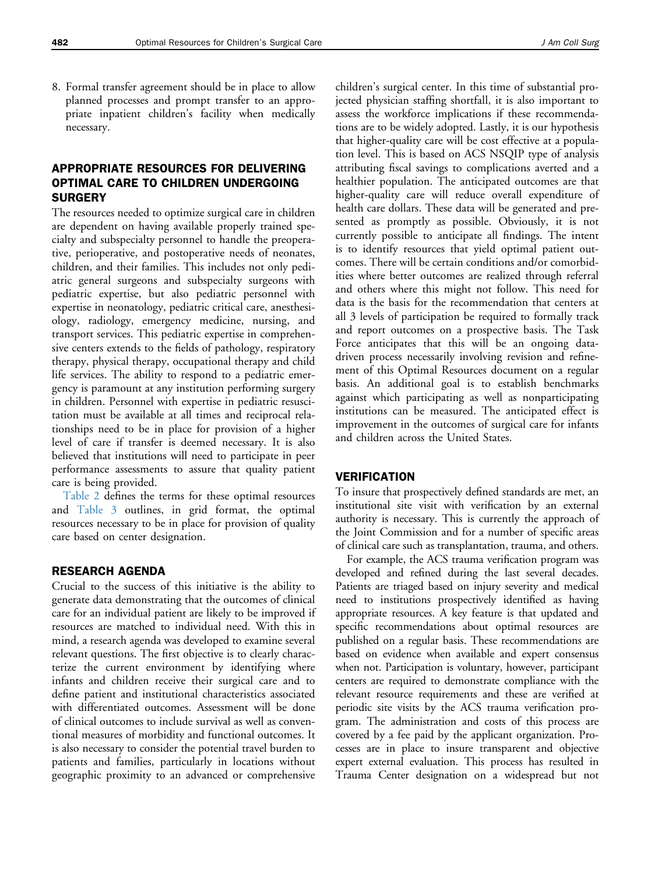8. Formal transfer agreement should be in place to allow planned processes and prompt transfer to an appropriate inpatient children's facility when medically necessary.

## APPROPRIATE RESOURCES FOR DELIVERING OPTIMAL CARE TO CHILDREN UNDERGOING **SURGERY**

The resources needed to optimize surgical care in children are dependent on having available properly trained specialty and subspecialty personnel to handle the preoperative, perioperative, and postoperative needs of neonates, children, and their families. This includes not only pediatric general surgeons and subspecialty surgeons with pediatric expertise, but also pediatric personnel with expertise in neonatology, pediatric critical care, anesthesiology, radiology, emergency medicine, nursing, and transport services. This pediatric expertise in comprehensive centers extends to the fields of pathology, respiratory therapy, physical therapy, occupational therapy and child life services. The ability to respond to a pediatric emergency is paramount at any institution performing surgery in children. Personnel with expertise in pediatric resuscitation must be available at all times and reciprocal relationships need to be in place for provision of a higher level of care if transfer is deemed necessary. It is also believed that institutions will need to participate in peer performance assessments to assure that quality patient care is being provided.

[Table 2](#page-4-0) defines the terms for these optimal resources and [Table 3](#page-6-0) outlines, in grid format, the optimal resources necessary to be in place for provision of quality care based on center designation.

## RESEARCH AGENDA

Crucial to the success of this initiative is the ability to generate data demonstrating that the outcomes of clinical care for an individual patient are likely to be improved if resources are matched to individual need. With this in mind, a research agenda was developed to examine several relevant questions. The first objective is to clearly characterize the current environment by identifying where infants and children receive their surgical care and to define patient and institutional characteristics associated with differentiated outcomes. Assessment will be done of clinical outcomes to include survival as well as conventional measures of morbidity and functional outcomes. It is also necessary to consider the potential travel burden to patients and families, particularly in locations without geographic proximity to an advanced or comprehensive

children's surgical center. In this time of substantial projected physician staffing shortfall, it is also important to assess the workforce implications if these recommendations are to be widely adopted. Lastly, it is our hypothesis that higher-quality care will be cost effective at a population level. This is based on ACS NSQIP type of analysis attributing fiscal savings to complications averted and a healthier population. The anticipated outcomes are that higher-quality care will reduce overall expenditure of health care dollars. These data will be generated and presented as promptly as possible. Obviously, it is not currently possible to anticipate all findings. The intent is to identify resources that yield optimal patient outcomes. There will be certain conditions and/or comorbidities where better outcomes are realized through referral and others where this might not follow. This need for data is the basis for the recommendation that centers at all 3 levels of participation be required to formally track and report outcomes on a prospective basis. The Task Force anticipates that this will be an ongoing datadriven process necessarily involving revision and refinement of this Optimal Resources document on a regular basis. An additional goal is to establish benchmarks against which participating as well as nonparticipating institutions can be measured. The anticipated effect is improvement in the outcomes of surgical care for infants and children across the United States.

#### VERIFICATION

To insure that prospectively defined standards are met, an institutional site visit with verification by an external authority is necessary. This is currently the approach of the Joint Commission and for a number of specific areas of clinical care such as transplantation, trauma, and others.

For example, the ACS trauma verification program was developed and refined during the last several decades. Patients are triaged based on injury severity and medical need to institutions prospectively identified as having appropriate resources. A key feature is that updated and specific recommendations about optimal resources are published on a regular basis. These recommendations are based on evidence when available and expert consensus when not. Participation is voluntary, however, participant centers are required to demonstrate compliance with the relevant resource requirements and these are verified at periodic site visits by the ACS trauma verification program. The administration and costs of this process are covered by a fee paid by the applicant organization. Processes are in place to insure transparent and objective expert external evaluation. This process has resulted in Trauma Center designation on a widespread but not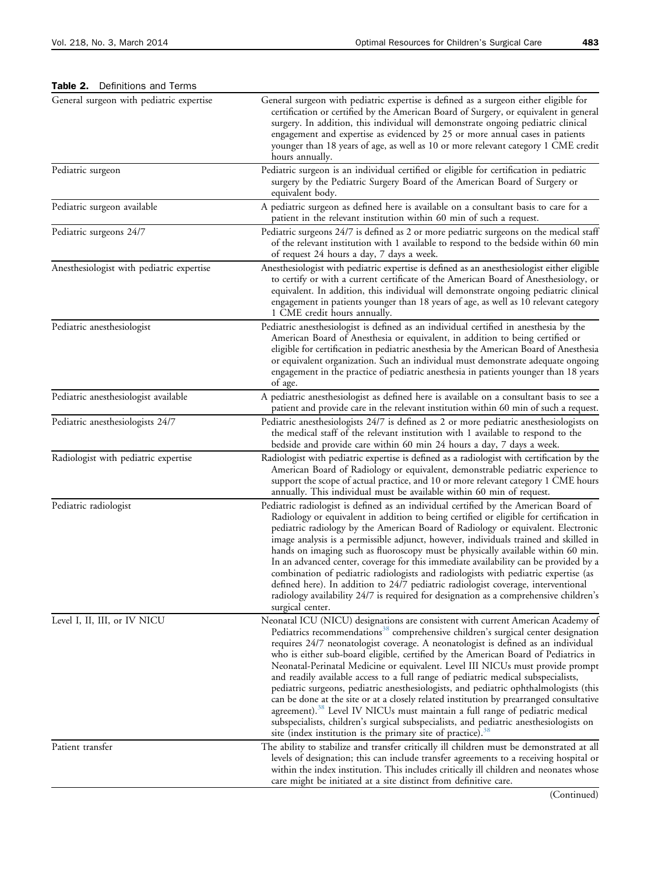## <span id="page-4-0"></span>Table 2. Definitions and Terms

| General surgeon with pediatric expertise  | General surgeon with pediatric expertise is defined as a surgeon either eligible for<br>certification or certified by the American Board of Surgery, or equivalent in general<br>surgery. In addition, this individual will demonstrate ongoing pediatric clinical<br>engagement and expertise as evidenced by 25 or more annual cases in patients<br>younger than 18 years of age, as well as 10 or more relevant category 1 CME credit<br>hours annually.                                                                                                                                                                                                                                                                                                                                                                                                                                                                                                                              |
|-------------------------------------------|------------------------------------------------------------------------------------------------------------------------------------------------------------------------------------------------------------------------------------------------------------------------------------------------------------------------------------------------------------------------------------------------------------------------------------------------------------------------------------------------------------------------------------------------------------------------------------------------------------------------------------------------------------------------------------------------------------------------------------------------------------------------------------------------------------------------------------------------------------------------------------------------------------------------------------------------------------------------------------------|
| Pediatric surgeon                         | Pediatric surgeon is an individual certified or eligible for certification in pediatric<br>surgery by the Pediatric Surgery Board of the American Board of Surgery or<br>equivalent body.                                                                                                                                                                                                                                                                                                                                                                                                                                                                                                                                                                                                                                                                                                                                                                                                |
| Pediatric surgeon available               | A pediatric surgeon as defined here is available on a consultant basis to care for a<br>patient in the relevant institution within 60 min of such a request.                                                                                                                                                                                                                                                                                                                                                                                                                                                                                                                                                                                                                                                                                                                                                                                                                             |
| Pediatric surgeons 24/7                   | Pediatric surgeons 24/7 is defined as 2 or more pediatric surgeons on the medical staff<br>of the relevant institution with 1 available to respond to the bedside within 60 min<br>of request 24 hours a day, 7 days a week.                                                                                                                                                                                                                                                                                                                                                                                                                                                                                                                                                                                                                                                                                                                                                             |
| Anesthesiologist with pediatric expertise | Anesthesiologist with pediatric expertise is defined as an anesthesiologist either eligible<br>to certify or with a current certificate of the American Board of Anesthesiology, or<br>equivalent. In addition, this individual will demonstrate ongoing pediatric clinical<br>engagement in patients younger than 18 years of age, as well as 10 relevant category<br>1 CME credit hours annually.                                                                                                                                                                                                                                                                                                                                                                                                                                                                                                                                                                                      |
| Pediatric anesthesiologist                | Pediatric anesthesiologist is defined as an individual certified in anesthesia by the<br>American Board of Anesthesia or equivalent, in addition to being certified or<br>eligible for certification in pediatric anesthesia by the American Board of Anesthesia<br>or equivalent organization. Such an individual must demonstrate adequate ongoing<br>engagement in the practice of pediatric anesthesia in patients younger than 18 years<br>of age.                                                                                                                                                                                                                                                                                                                                                                                                                                                                                                                                  |
| Pediatric anesthesiologist available      | A pediatric anesthesiologist as defined here is available on a consultant basis to see a<br>patient and provide care in the relevant institution within 60 min of such a request.                                                                                                                                                                                                                                                                                                                                                                                                                                                                                                                                                                                                                                                                                                                                                                                                        |
| Pediatric anesthesiologists 24/7          | Pediatric anesthesiologists 24/7 is defined as 2 or more pediatric anesthesiologists on<br>the medical staff of the relevant institution with 1 available to respond to the<br>bedside and provide care within 60 min 24 hours a day, 7 days a week.                                                                                                                                                                                                                                                                                                                                                                                                                                                                                                                                                                                                                                                                                                                                     |
| Radiologist with pediatric expertise      | Radiologist with pediatric expertise is defined as a radiologist with certification by the<br>American Board of Radiology or equivalent, demonstrable pediatric experience to<br>support the scope of actual practice, and 10 or more relevant category 1 CME hours<br>annually. This individual must be available within 60 min of request.                                                                                                                                                                                                                                                                                                                                                                                                                                                                                                                                                                                                                                             |
| Pediatric radiologist                     | Pediatric radiologist is defined as an individual certified by the American Board of<br>Radiology or equivalent in addition to being certified or eligible for certification in<br>pediatric radiology by the American Board of Radiology or equivalent. Electronic<br>image analysis is a permissible adjunct, however, individuals trained and skilled in<br>hands on imaging such as fluoroscopy must be physically available within 60 min.<br>In an advanced center, coverage for this immediate availability can be provided by a<br>combination of pediatric radiologists and radiologists with pediatric expertise (as<br>defined here). In addition to 24/7 pediatric radiologist coverage, interventional<br>radiology availability 24/7 is required for designation as a comprehensive children's<br>surgical center.                                                                                                                                                         |
| Level I, II, III, or IV NICU              | Neonatal ICU (NICU) designations are consistent with current American Academy of<br>Pediatrics recommendations <sup>38</sup> comprehensive children's surgical center designation<br>requires 24/7 neonatologist coverage. A neonatologist is defined as an individual<br>who is either sub-board eligible, certified by the American Board of Pediatrics in<br>Neonatal-Perinatal Medicine or equivalent. Level III NICUs must provide prompt<br>and readily available access to a full range of pediatric medical subspecialists,<br>pediatric surgeons, pediatric anesthesiologists, and pediatric ophthalmologists (this<br>can be done at the site or at a closely related institution by prearranged consultative<br>agreement). <sup>38</sup> Level IV NICUs must maintain a full range of pediatric medical<br>subspecialists, children's surgical subspecialists, and pediatric anesthesiologists on<br>site (index institution is the primary site of practice). <sup>38</sup> |
| Patient transfer                          | The ability to stabilize and transfer critically ill children must be demonstrated at all<br>levels of designation; this can include transfer agreements to a receiving hospital or<br>within the index institution. This includes critically ill children and neonates whose<br>care might be initiated at a site distinct from definitive care.                                                                                                                                                                                                                                                                                                                                                                                                                                                                                                                                                                                                                                        |

(Continued)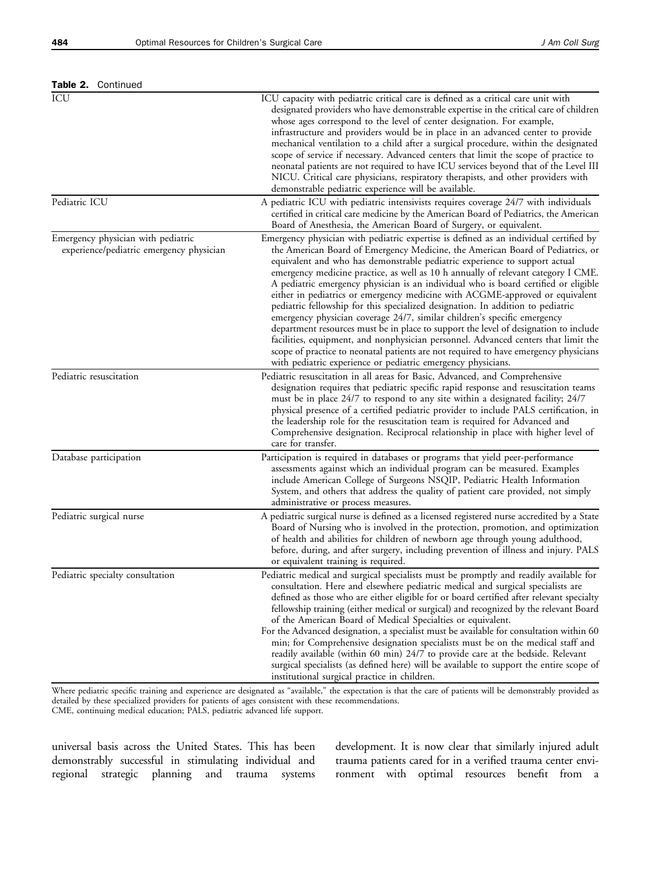| Table 2. | Continued |
|----------|-----------|
|----------|-----------|

| $I$ and $I$ .<br><b>COLIGITUS</b>                                              |                                                                                                                                                                                                                                                                                                                                                                                                                                                                                                                                                                                                                                                                                                                                                                                                                                                                                                                                                                                                                        |
|--------------------------------------------------------------------------------|------------------------------------------------------------------------------------------------------------------------------------------------------------------------------------------------------------------------------------------------------------------------------------------------------------------------------------------------------------------------------------------------------------------------------------------------------------------------------------------------------------------------------------------------------------------------------------------------------------------------------------------------------------------------------------------------------------------------------------------------------------------------------------------------------------------------------------------------------------------------------------------------------------------------------------------------------------------------------------------------------------------------|
| ICU                                                                            | ICU capacity with pediatric critical care is defined as a critical care unit with<br>designated providers who have demonstrable expertise in the critical care of children<br>whose ages correspond to the level of center designation. For example,<br>infrastructure and providers would be in place in an advanced center to provide<br>mechanical ventilation to a child after a surgical procedure, within the designated<br>scope of service if necessary. Advanced centers that limit the scope of practice to<br>neonatal patients are not required to have ICU services beyond that of the Level III<br>NICU. Critical care physicians, respiratory therapists, and other providers with<br>demonstrable pediatric experience will be available.                                                                                                                                                                                                                                                              |
| Pediatric ICU                                                                  | A pediatric ICU with pediatric intensivists requires coverage 24/7 with individuals<br>certified in critical care medicine by the American Board of Pediatrics, the American<br>Board of Anesthesia, the American Board of Surgery, or equivalent.                                                                                                                                                                                                                                                                                                                                                                                                                                                                                                                                                                                                                                                                                                                                                                     |
| Emergency physician with pediatric<br>experience/pediatric emergency physician | Emergency physician with pediatric expertise is defined as an individual certified by<br>the American Board of Emergency Medicine, the American Board of Pediatrics, or<br>equivalent and who has demonstrable pediatric experience to support actual<br>emergency medicine practice, as well as 10 h annually of relevant category I CME.<br>A pediatric emergency physician is an individual who is board certified or eligible<br>either in pediatrics or emergency medicine with ACGME-approved or equivalent<br>pediatric fellowship for this specialized designation. In addition to pediatric<br>emergency physician coverage 24/7, similar children's specific emergency<br>department resources must be in place to support the level of designation to include<br>facilities, equipment, and nonphysician personnel. Advanced centers that limit the<br>scope of practice to neonatal patients are not required to have emergency physicians<br>with pediatric experience or pediatric emergency physicians. |
| Pediatric resuscitation                                                        | Pediatric resuscitation in all areas for Basic, Advanced, and Comprehensive<br>designation requires that pediatric specific rapid response and resuscitation teams<br>must be in place 24/7 to respond to any site within a designated facility; 24/7<br>physical presence of a certified pediatric provider to include PALS certification, in<br>the leadership role for the resuscitation team is required for Advanced and<br>Comprehensive designation. Reciprocal relationship in place with higher level of<br>care for transfer.                                                                                                                                                                                                                                                                                                                                                                                                                                                                                |
| Database participation                                                         | Participation is required in databases or programs that yield peer-performance<br>assessments against which an individual program can be measured. Examples<br>include American College of Surgeons NSQIP, Pediatric Health Information<br>System, and others that address the quality of patient care provided, not simply<br>administrative or process measures.                                                                                                                                                                                                                                                                                                                                                                                                                                                                                                                                                                                                                                                     |
| Pediatric surgical nurse                                                       | A pediatric surgical nurse is defined as a licensed registered nurse accredited by a State<br>Board of Nursing who is involved in the protection, promotion, and optimization<br>of health and abilities for children of newborn age through young adulthood,<br>before, during, and after surgery, including prevention of illness and injury. PALS<br>or equivalent training is required.                                                                                                                                                                                                                                                                                                                                                                                                                                                                                                                                                                                                                            |
| Pediatric specialty consultation                                               | Pediatric medical and surgical specialists must be promptly and readily available for<br>consultation. Here and elsewhere pediatric medical and surgical specialists are<br>defined as those who are either eligible for or board certified after relevant specialty<br>fellowship training (either medical or surgical) and recognized by the relevant Board<br>of the American Board of Medical Specialties or equivalent.<br>For the Advanced designation, a specialist must be available for consultation within 60<br>min; for Comprehensive designation specialists must be on the medical staff and<br>readily available (within 60 min) 24/7 to provide care at the bedside. Relevant<br>surgical specialists (as defined here) will be available to support the entire scope of<br>institutional surgical practice in children.                                                                                                                                                                               |

Where pediatric specific training and experience are designated as "available," the expectation is that the care of patients will be demonstrably provided as detailed by these specialized providers for patients of ages consistent with these recommendations. CME, continuing medical education; PALS, pediatric advanced life support.

universal basis across the United States. This has been demonstrably successful in stimulating individual and regional strategic planning and trauma systems

development. It is now clear that similarly injured adult trauma patients cared for in a verified trauma center environment with optimal resources benefit from a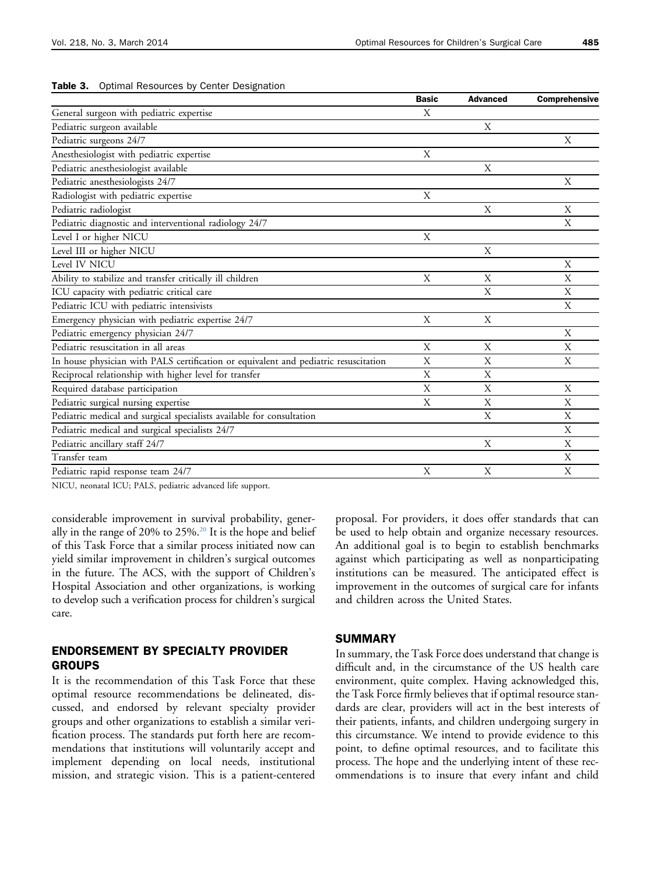#### <span id="page-6-0"></span>Table 3. Optimal Resources by Center Designation

|                                                                                      | <b>Basic</b> | <b>Advanced</b> | <b>Comprehensive</b> |
|--------------------------------------------------------------------------------------|--------------|-----------------|----------------------|
| General surgeon with pediatric expertise                                             | X            |                 |                      |
| Pediatric surgeon available                                                          |              | X               |                      |
| Pediatric surgeons 24/7                                                              |              |                 | X                    |
| Anesthesiologist with pediatric expertise                                            | X            |                 |                      |
| Pediatric anesthesiologist available                                                 |              | X               |                      |
| Pediatric anesthesiologists 24/7                                                     |              |                 | X                    |
| Radiologist with pediatric expertise                                                 | X            |                 |                      |
| Pediatric radiologist                                                                |              | X               | X                    |
| Pediatric diagnostic and interventional radiology 24/7                               |              |                 | X                    |
| Level I or higher NICU                                                               | X            |                 |                      |
| Level III or higher NICU                                                             |              | X               |                      |
| Level IV NICU                                                                        |              |                 | X                    |
| Ability to stabilize and transfer critically ill children                            | X            | X               | X                    |
| ICU capacity with pediatric critical care                                            |              | X               | X                    |
| Pediatric ICU with pediatric intensivists                                            |              |                 | X                    |
| Emergency physician with pediatric expertise 24/7                                    | X            | X               |                      |
| Pediatric emergency physician 24/7                                                   |              |                 | X                    |
| Pediatric resuscitation in all areas                                                 | X            | X               | X                    |
| In house physician with PALS certification or equivalent and pediatric resuscitation | X            | X               | X                    |
| Reciprocal relationship with higher level for transfer                               | X            | X               |                      |
| Required database participation                                                      | X            | X               | X                    |
| Pediatric surgical nursing expertise                                                 | X            | X               | X                    |
| Pediatric medical and surgical specialists available for consultation                |              | X               | Χ                    |
| Pediatric medical and surgical specialists 24/7                                      |              |                 | X                    |
| Pediatric ancillary staff 24/7                                                       |              | X               | X                    |
| Transfer team                                                                        |              |                 | X                    |
| Pediatric rapid response team 24/7                                                   | X            | X               | X                    |

NICU, neonatal ICU; PALS, pediatric advanced life support.

considerable improvement in survival probability, gener-ally in the range of [20](#page-7-0)% to  $25\%$ .<sup>20</sup> It is the hope and belief of this Task Force that a similar process initiated now can yield similar improvement in children's surgical outcomes in the future. The ACS, with the support of Children's Hospital Association and other organizations, is working to develop such a verification process for children's surgical care.

# ENDORSEMENT BY SPECIALTY PROVIDER **GROUPS**

It is the recommendation of this Task Force that these optimal resource recommendations be delineated, discussed, and endorsed by relevant specialty provider groups and other organizations to establish a similar verification process. The standards put forth here are recommendations that institutions will voluntarily accept and implement depending on local needs, institutional mission, and strategic vision. This is a patient-centered proposal. For providers, it does offer standards that can be used to help obtain and organize necessary resources. An additional goal is to begin to establish benchmarks against which participating as well as nonparticipating institutions can be measured. The anticipated effect is improvement in the outcomes of surgical care for infants and children across the United States.

#### SUMMARY

In summary, the Task Force does understand that change is difficult and, in the circumstance of the US health care environment, quite complex. Having acknowledged this, the Task Force firmly believes that if optimal resource standards are clear, providers will act in the best interests of their patients, infants, and children undergoing surgery in this circumstance. We intend to provide evidence to this point, to define optimal resources, and to facilitate this process. The hope and the underlying intent of these recommendations is to insure that every infant and child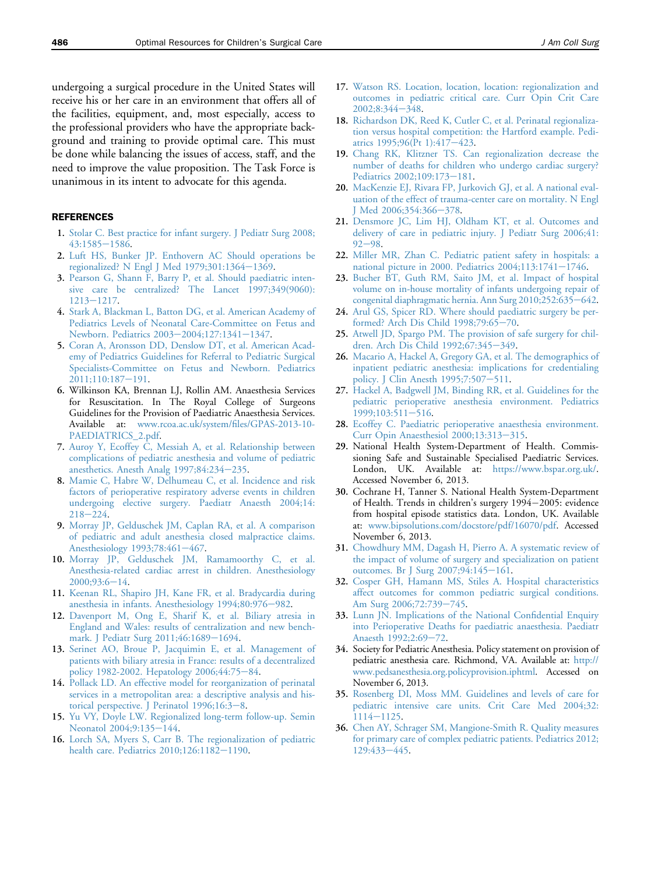<span id="page-7-0"></span>undergoing a surgical procedure in the United States will receive his or her care in an environment that offers all of the facilities, equipment, and, most especially, access to the professional providers who have the appropriate background and training to provide optimal care. This must be done while balancing the issues of access, staff, and the need to improve the value proposition. The Task Force is unanimous in its intent to advocate for this agenda.

#### REFERENCES

- 1. [Stolar C. Best practice for infant surgery. J Pediatr Surg 2008;](http://refhub.elsevier.com/S1072-7515(13)01194-0/sref1) [43:1585](http://refhub.elsevier.com/S1072-7515(13)01194-0/sref1)-[1586](http://refhub.elsevier.com/S1072-7515(13)01194-0/sref1).
- 2. [Luft HS, Bunker JP. Enthovern AC Should operations be](http://refhub.elsevier.com/S1072-7515(13)01194-0/sref2) [regionalized? N Engl J Med 1979;301:1364](http://refhub.elsevier.com/S1072-7515(13)01194-0/sref2)-[1369.](http://refhub.elsevier.com/S1072-7515(13)01194-0/sref2)
- 3. [Pearson G, Shann F, Barry P, et al. Should paediatric inten](http://refhub.elsevier.com/S1072-7515(13)01194-0/sref3)[sive care be centralized? The Lancet 1997;349\(9060\):](http://refhub.elsevier.com/S1072-7515(13)01194-0/sref3)  $1213 - 1217.$  $1213 - 1217.$  $1213 - 1217.$
- 4. [Stark A, Blackman L, Batton DG, et al. American Academy of](http://refhub.elsevier.com/S1072-7515(13)01194-0/sref4) [Pediatrics Levels of Neonatal Care-Committee on Fetus and](http://refhub.elsevier.com/S1072-7515(13)01194-0/sref4) [Newborn. Pediatrics 2003](http://refhub.elsevier.com/S1072-7515(13)01194-0/sref4)-[2004;127:1341](http://refhub.elsevier.com/S1072-7515(13)01194-0/sref4)-[1347](http://refhub.elsevier.com/S1072-7515(13)01194-0/sref4).
- 5. [Coran A, Aronsson DD, Denslow DT, et al. American Acad](http://refhub.elsevier.com/S1072-7515(13)01194-0/sref5)[emy of Pediatrics Guidelines for Referral to Pediatric Surgical](http://refhub.elsevier.com/S1072-7515(13)01194-0/sref5) [Specialists-Committee on Fetus and Newborn. Pediatrics](http://refhub.elsevier.com/S1072-7515(13)01194-0/sref5) [2011;110:187](http://refhub.elsevier.com/S1072-7515(13)01194-0/sref5)e[191.](http://refhub.elsevier.com/S1072-7515(13)01194-0/sref5)
- 6. Wilkinson KA, Brennan LJ, Rollin AM. Anaesthesia Services for Resuscitation. In The Royal College of Surgeons Guidelines for the Provision of Paediatric Anaesthesia Services. Available at: [www.rcoa.ac.uk/system/files/GPAS-2013-10-](http://www.rcoa.ac.uk/system/files/GPAS-2013-10-PAEDIATRICS_2.pdf) [PAEDIATRICS\\_2.pdf.](http://www.rcoa.ac.uk/system/files/GPAS-2013-10-PAEDIATRICS_2.pdf)
- 7. [Auroy Y, Ecoffey C, Messiah A, et al. Relationship between](http://refhub.elsevier.com/S1072-7515(13)01194-0/sref6) [complications of pediatric anesthesia and volume of pediatric](http://refhub.elsevier.com/S1072-7515(13)01194-0/sref6) anesthetics. Anesth Analg  $1997;84:234-235$ .
- 8. [Mamie C, Habre W, Delhumeau C, et al. Incidence and risk](http://refhub.elsevier.com/S1072-7515(13)01194-0/sref7) [factors of perioperative respiratory adverse events in children](http://refhub.elsevier.com/S1072-7515(13)01194-0/sref7) [undergoing elective surgery. Paediatr Anaesth 2004;14:](http://refhub.elsevier.com/S1072-7515(13)01194-0/sref7)  $218 - 224.$  $218 - 224.$  $218 - 224.$
- 9. [Morray JP, Gelduschek JM, Caplan RA, et al. A comparison](http://refhub.elsevier.com/S1072-7515(13)01194-0/sref8) [of pediatric and adult anesthesia closed malpractice claims.](http://refhub.elsevier.com/S1072-7515(13)01194-0/sref8) [Anesthesiology 1993;78:461](http://refhub.elsevier.com/S1072-7515(13)01194-0/sref8)-[467.](http://refhub.elsevier.com/S1072-7515(13)01194-0/sref8)
- 10. [Morray JP, Gelduschek JM, Ramamoorthy C, et al.](http://refhub.elsevier.com/S1072-7515(13)01194-0/sref9) [Anesthesia-related cardiac arrest in children. Anesthesiology](http://refhub.elsevier.com/S1072-7515(13)01194-0/sref9)  $2000;93:6-14.$  $2000;93:6-14.$  $2000;93:6-14.$
- 11. [Keenan RL, Shapiro JH, Kane FR, et al. Bradycardia during](http://refhub.elsevier.com/S1072-7515(13)01194-0/sref10) [anesthesia in infants. Anesthesiology 1994;80:976](http://refhub.elsevier.com/S1072-7515(13)01194-0/sref10)-[982](http://refhub.elsevier.com/S1072-7515(13)01194-0/sref10).
- 12. [Davenport M, Ong E, Sharif K, et al. Biliary atresia in](http://refhub.elsevier.com/S1072-7515(13)01194-0/sref11) [England and Wales: results of centralization and new bench](http://refhub.elsevier.com/S1072-7515(13)01194-0/sref11)[mark. J Pediatr Surg 2011;46:1689](http://refhub.elsevier.com/S1072-7515(13)01194-0/sref11)-[1694](http://refhub.elsevier.com/S1072-7515(13)01194-0/sref11).
- 13. [Serinet AO, Broue P, Jacquimin E, et al. Management of](http://refhub.elsevier.com/S1072-7515(13)01194-0/sref12) [patients with biliary atresia in France: results of a decentralized](http://refhub.elsevier.com/S1072-7515(13)01194-0/sref12) [policy 1982-2002. Hepatology 2006;44:75](http://refhub.elsevier.com/S1072-7515(13)01194-0/sref12)-[84.](http://refhub.elsevier.com/S1072-7515(13)01194-0/sref12)
- 14. [Pollack LD. An effective model for reorganization of perinatal](http://refhub.elsevier.com/S1072-7515(13)01194-0/sref13) [services in a metropolitan area: a descriptive analysis and his](http://refhub.elsevier.com/S1072-7515(13)01194-0/sref13)[torical perspective. J Perinatol 1996;16:3](http://refhub.elsevier.com/S1072-7515(13)01194-0/sref13)-[8](http://refhub.elsevier.com/S1072-7515(13)01194-0/sref13).
- 15. [Yu VY, Doyle LW. Regionalized long-term follow-up. Semin](http://refhub.elsevier.com/S1072-7515(13)01194-0/sref14) [Neonatol 2004;9:135](http://refhub.elsevier.com/S1072-7515(13)01194-0/sref14)-[144](http://refhub.elsevier.com/S1072-7515(13)01194-0/sref14).
- 16. [Lorch SA, Myers S, Carr B. The regionalization of pediatric](http://refhub.elsevier.com/S1072-7515(13)01194-0/sref15) [health care. Pediatrics 2010;126:1182](http://refhub.elsevier.com/S1072-7515(13)01194-0/sref15)-[1190](http://refhub.elsevier.com/S1072-7515(13)01194-0/sref15).
- 17. [Watson RS. Location, location, location: regionalization and](http://refhub.elsevier.com/S1072-7515(13)01194-0/sref16) [outcomes in pediatric critical care. Curr Opin Crit Care](http://refhub.elsevier.com/S1072-7515(13)01194-0/sref16) [2002;8:344](http://refhub.elsevier.com/S1072-7515(13)01194-0/sref16)-[348.](http://refhub.elsevier.com/S1072-7515(13)01194-0/sref16)
- 18. [Richardson DK, Reed K, Cutler C, et al. Perinatal regionaliza](http://refhub.elsevier.com/S1072-7515(13)01194-0/sref17)[tion versus hospital competition: the Hartford example. Pedi](http://refhub.elsevier.com/S1072-7515(13)01194-0/sref17)[atrics 1995;96\(Pt 1\):417](http://refhub.elsevier.com/S1072-7515(13)01194-0/sref17)-[423](http://refhub.elsevier.com/S1072-7515(13)01194-0/sref17).
- 19. [Chang RK, Klitzner TS. Can regionalization decrease the](http://refhub.elsevier.com/S1072-7515(13)01194-0/sref18) [number of deaths for children who undergo cardiac surgery?](http://refhub.elsevier.com/S1072-7515(13)01194-0/sref18) [Pediatrics 2002;109:173](http://refhub.elsevier.com/S1072-7515(13)01194-0/sref18)-[181](http://refhub.elsevier.com/S1072-7515(13)01194-0/sref18).
- 20. [MacKenzie EJ, Rivara FP, Jurkovich GJ, et al. A national eval](http://refhub.elsevier.com/S1072-7515(13)01194-0/sref19)[uation of the effect of trauma-center care on mortality. N Engl](http://refhub.elsevier.com/S1072-7515(13)01194-0/sref19) [J Med 2006;354:366](http://refhub.elsevier.com/S1072-7515(13)01194-0/sref19)-[378](http://refhub.elsevier.com/S1072-7515(13)01194-0/sref19).
- 21. [Densmore JC, Lim HJ, Oldham KT, et al. Outcomes and](http://refhub.elsevier.com/S1072-7515(13)01194-0/sref20) [delivery of care in pediatric injury. J Pediatr Surg 2006;41:](http://refhub.elsevier.com/S1072-7515(13)01194-0/sref20)  $92 - 98.$  $92 - 98.$  $92 - 98.$
- 22. [Miller MR, Zhan C. Pediatric patient safety in hospitals: a](http://refhub.elsevier.com/S1072-7515(13)01194-0/sref21) national picture in 2000. Pediatrics  $2004;113:1741-1746$  $2004;113:1741-1746$ .
- 23. [Bucher BT, Guth RM, Saito JM, et al. Impact of hospital](http://refhub.elsevier.com/S1072-7515(13)01194-0/sref22) [volume on in-house mortality of infants undergoing repair of](http://refhub.elsevier.com/S1072-7515(13)01194-0/sref22) [congenital diaphragmatic hernia. Ann Surg 2010;252:635](http://refhub.elsevier.com/S1072-7515(13)01194-0/sref22)-[642.](http://refhub.elsevier.com/S1072-7515(13)01194-0/sref22)
- 24. [Arul GS, Spicer RD. Where should paediatric surgery be per](http://refhub.elsevier.com/S1072-7515(13)01194-0/sref23)[formed? Arch Dis Child 1998;79:65](http://refhub.elsevier.com/S1072-7515(13)01194-0/sref23)-[70](http://refhub.elsevier.com/S1072-7515(13)01194-0/sref23).
- 25. [Atwell JD, Spargo PM. The provision of safe surgery for chil](http://refhub.elsevier.com/S1072-7515(13)01194-0/sref24)[dren. Arch Dis Child 1992;67:345](http://refhub.elsevier.com/S1072-7515(13)01194-0/sref24)–[349](http://refhub.elsevier.com/S1072-7515(13)01194-0/sref24).
- 26. [Macario A, Hackel A, Gregory GA, et al. The demographics of](http://refhub.elsevier.com/S1072-7515(13)01194-0/sref25) [inpatient pediatric anesthesia: implications for credentialing](http://refhub.elsevier.com/S1072-7515(13)01194-0/sref25) [policy. J Clin Anesth 1995;7:507](http://refhub.elsevier.com/S1072-7515(13)01194-0/sref25)-[511.](http://refhub.elsevier.com/S1072-7515(13)01194-0/sref25)
- 27. [Hackel A, Badgwell JM, Binding RR, et al. Guidelines for the](http://refhub.elsevier.com/S1072-7515(13)01194-0/sref26) [pediatric perioperative anesthesia environment. Pediatrics](http://refhub.elsevier.com/S1072-7515(13)01194-0/sref26) [1999;103:511](http://refhub.elsevier.com/S1072-7515(13)01194-0/sref26)-[516.](http://refhub.elsevier.com/S1072-7515(13)01194-0/sref26)
- 28. [Ecoffey C. Paediatric perioperative anaesthesia environment.](http://refhub.elsevier.com/S1072-7515(13)01194-0/sref27) [Curr Opin Anaesthesiol 2000;13:313](http://refhub.elsevier.com/S1072-7515(13)01194-0/sref27)-[315.](http://refhub.elsevier.com/S1072-7515(13)01194-0/sref27)
- 29. National Health System-Department of Health. Commissioning Safe and Sustainable Specialised Paediatric Services. London, UK. Available at: [https://www.bspar.org.uk/.](https://www.bspar.org.uk/) Accessed November 6, 2013.
- 30. Cochrane H, Tanner S. National Health System-Department of Health. Trends in children's surgery 1994-2005: evidence from hospital episode statistics data. London, UK. Available at: [www.bipsolutions.com/docstore/pdf/16070/pdf](http://www.bipsolutions.com/docstore/pdf/16070/pdf). Accessed November 6, 2013.
- 31. [Chowdhury MM, Dagash H, Pierro A. A systematic review of](http://refhub.elsevier.com/S1072-7515(13)01194-0/sref28) [the impact of volume of surgery and specialization on patient](http://refhub.elsevier.com/S1072-7515(13)01194-0/sref28) [outcomes. Br J Surg 2007;94:145](http://refhub.elsevier.com/S1072-7515(13)01194-0/sref28)-[161](http://refhub.elsevier.com/S1072-7515(13)01194-0/sref28).
- 32. [Cosper GH, Hamann MS, Stiles A. Hospital characteristics](http://refhub.elsevier.com/S1072-7515(13)01194-0/sref29) [affect outcomes for common pediatric surgical conditions.](http://refhub.elsevier.com/S1072-7515(13)01194-0/sref29) [Am Surg 2006;72:739](http://refhub.elsevier.com/S1072-7515(13)01194-0/sref29)-[745.](http://refhub.elsevier.com/S1072-7515(13)01194-0/sref29)
- 33. [Lunn JN. Implications of the National Confidential Enquiry](http://refhub.elsevier.com/S1072-7515(13)01194-0/sref30) [into Perioperative Deaths for paediatric anaesthesia. Paediatr](http://refhub.elsevier.com/S1072-7515(13)01194-0/sref30) [Anaesth 1992;2:69](http://refhub.elsevier.com/S1072-7515(13)01194-0/sref30)-[72.](http://refhub.elsevier.com/S1072-7515(13)01194-0/sref30)
- 34. Society for Pediatric Anesthesia. Policy statement on provision of pediatric anesthesia care. Richmond, VA. Available at: [http://](http://www.pedsanesthesia.org.policyprovision.iphtml) [www.pedsanesthesia.org.policyprovision.iphtml.](http://www.pedsanesthesia.org.policyprovision.iphtml) Accessed on November 6, 2013.
- 35. [Rosenberg DI, Moss MM. Guidelines and levels of care for](http://refhub.elsevier.com/S1072-7515(13)01194-0/sref31) [pediatric intensive care units. Crit Care Med 2004;32:](http://refhub.elsevier.com/S1072-7515(13)01194-0/sref31)  $1114 - 1125.$  $1114 - 1125.$  $1114 - 1125.$
- 36. [Chen AY, Schrager SM, Mangione-Smith R. Quality measures](http://refhub.elsevier.com/S1072-7515(13)01194-0/sref32) [for primary care of complex pediatric patients. Pediatrics 2012;](http://refhub.elsevier.com/S1072-7515(13)01194-0/sref32) [129:433](http://refhub.elsevier.com/S1072-7515(13)01194-0/sref32)-[445.](http://refhub.elsevier.com/S1072-7515(13)01194-0/sref32)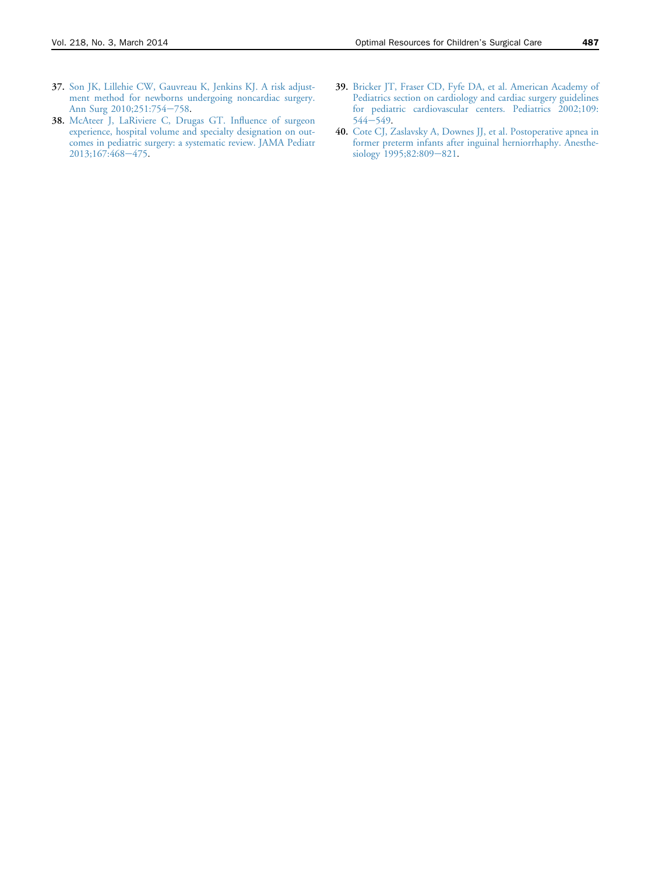- <span id="page-8-0"></span>37. [Son JK, Lillehie CW, Gauvreau K, Jenkins KJ. A risk adjust](http://refhub.elsevier.com/S1072-7515(13)01194-0/sref33)[ment method for newborns undergoing noncardiac surgery.](http://refhub.elsevier.com/S1072-7515(13)01194-0/sref33) [Ann Surg 2010;251:754](http://refhub.elsevier.com/S1072-7515(13)01194-0/sref33)-[758.](http://refhub.elsevier.com/S1072-7515(13)01194-0/sref33)
- 38. [McAteer J, LaRiviere C, Drugas GT. Influence of surgeon](http://refhub.elsevier.com/S1072-7515(13)01194-0/sref34) [experience, hospital volume and specialty designation on out](http://refhub.elsevier.com/S1072-7515(13)01194-0/sref34)[comes in pediatric surgery: a systematic review. JAMA Pediatr](http://refhub.elsevier.com/S1072-7515(13)01194-0/sref34) [2013;167:468](http://refhub.elsevier.com/S1072-7515(13)01194-0/sref34)-[475.](http://refhub.elsevier.com/S1072-7515(13)01194-0/sref34)
- 39. [Bricker JT, Fraser CD, Fyfe DA, et al. American Academy of](http://refhub.elsevier.com/S1072-7515(13)01194-0/sref35) [Pediatrics section on cardiology and cardiac surgery guidelines](http://refhub.elsevier.com/S1072-7515(13)01194-0/sref35) [for pediatric cardiovascular centers. Pediatrics 2002;109:](http://refhub.elsevier.com/S1072-7515(13)01194-0/sref35)  $544 - 549.$  $544 - 549.$  $544 - 549.$
- 40. [Cote CJ, Zaslavsky A, Downes JJ, et al. Postoperative apnea in](http://refhub.elsevier.com/S1072-7515(13)01194-0/sref36) [former preterm infants after inguinal herniorrhaphy. Anesthe](http://refhub.elsevier.com/S1072-7515(13)01194-0/sref36)[siology 1995;82:809](http://refhub.elsevier.com/S1072-7515(13)01194-0/sref36)-[821.](http://refhub.elsevier.com/S1072-7515(13)01194-0/sref36)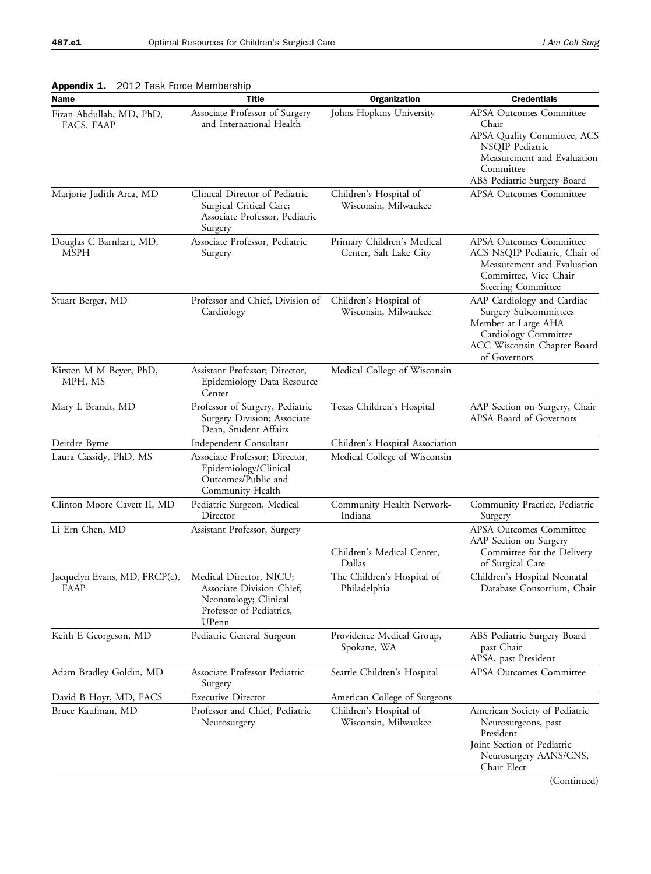| прропит — —<br><b>EVIL TWONT ONCE MICHING ISSUE</b><br>Name | Title                                                                                                              | <b>Organization</b>                                  | <b>Credentials</b>                                                                                                                                       |
|-------------------------------------------------------------|--------------------------------------------------------------------------------------------------------------------|------------------------------------------------------|----------------------------------------------------------------------------------------------------------------------------------------------------------|
| Fizan Abdullah, MD, PhD,                                    | Associate Professor of Surgery                                                                                     | Johns Hopkins University                             | <b>APSA Outcomes Committee</b>                                                                                                                           |
| FACS, FAAP                                                  | and International Health                                                                                           |                                                      | Chair<br>APSA Quality Committee, ACS<br>NSQIP Pediatric<br>Measurement and Evaluation<br>Committee                                                       |
| Marjorie Judith Arca, MD                                    | Clinical Director of Pediatric<br>Surgical Critical Care;<br>Associate Professor, Pediatric<br>Surgery             | Children's Hospital of<br>Wisconsin, Milwaukee       | ABS Pediatric Surgery Board<br>APSA Outcomes Committee                                                                                                   |
| Douglas C Barnhart, MD,<br><b>MSPH</b>                      | Associate Professor, Pediatric<br>Surgery                                                                          | Primary Children's Medical<br>Center, Salt Lake City | <b>APSA Outcomes Committee</b><br>ACS NSQIP Pediatric, Chair of<br>Measurement and Evaluation<br>Committee, Vice Chair<br><b>Steering Committee</b>      |
| Stuart Berger, MD                                           | Professor and Chief, Division of<br>Cardiology                                                                     | Children's Hospital of<br>Wisconsin, Milwaukee       | AAP Cardiology and Cardiac<br><b>Surgery Subcommittees</b><br>Member at Large AHA<br>Cardiology Committee<br>ACC Wisconsin Chapter Board<br>of Governors |
| Kirsten M M Beyer, PhD,<br>MPH, MS                          | Assistant Professor; Director,<br>Epidemiology Data Resource<br>Center                                             | Medical College of Wisconsin                         |                                                                                                                                                          |
| Mary L Brandt, MD                                           | Professor of Surgery, Pediatric<br>Surgery Division; Associate<br>Dean, Student Affairs                            | Texas Children's Hospital                            | AAP Section on Surgery, Chair<br>APSA Board of Governors                                                                                                 |
| Deirdre Byrne                                               | Independent Consultant                                                                                             | Children's Hospital Association                      |                                                                                                                                                          |
| Laura Cassidy, PhD, MS                                      | Associate Professor; Director,<br>Epidemiology/Clinical<br>Outcomes/Public and<br>Community Health                 | Medical College of Wisconsin                         |                                                                                                                                                          |
| Clinton Moore Cavett II, MD                                 | Pediatric Surgeon, Medical<br>Director                                                                             | Community Health Network-<br>Indiana                 | Community Practice, Pediatric<br>Surgery                                                                                                                 |
| Li Ern Chen, MD                                             | Assistant Professor, Surgery                                                                                       | Children's Medical Center,<br>Dallas                 | APSA Outcomes Committee<br>AAP Section on Surgery<br>Committee for the Delivery<br>of Surgical Care                                                      |
| Jacquelyn Evans, MD, FRCP(c),<br>FAAP                       | Medical Director, NICU;<br>Associate Division Chief,<br>Neonatology; Clinical<br>Professor of Pediatrics,<br>UPenn | The Children's Hospital of<br>Philadelphia           | Children's Hospital Neonatal<br>Database Consortium, Chair                                                                                               |
| Keith E Georgeson, MD                                       | Pediatric General Surgeon                                                                                          | Providence Medical Group,<br>Spokane, WA             | ABS Pediatric Surgery Board<br>past Chair<br>APSA, past President                                                                                        |
| Adam Bradley Goldin, MD                                     | Associate Professor Pediatric<br>Surgery                                                                           | Seattle Children's Hospital                          | <b>APSA Outcomes Committee</b>                                                                                                                           |
| David B Hoyt, MD, FACS                                      | <b>Executive Director</b>                                                                                          | American College of Surgeons                         |                                                                                                                                                          |
| Bruce Kaufman, MD                                           | Professor and Chief, Pediatric<br>Neurosurgery                                                                     | Children's Hospital of<br>Wisconsin, Milwaukee       | American Society of Pediatric<br>Neurosurgeons, past<br>President<br>Joint Section of Pediatric                                                          |
|                                                             |                                                                                                                    |                                                      | Neurosurgery AANS/CNS,<br>Chair Elect                                                                                                                    |

## <span id="page-9-0"></span>Appendix 1. 2012 Task Force Membership

(Continued)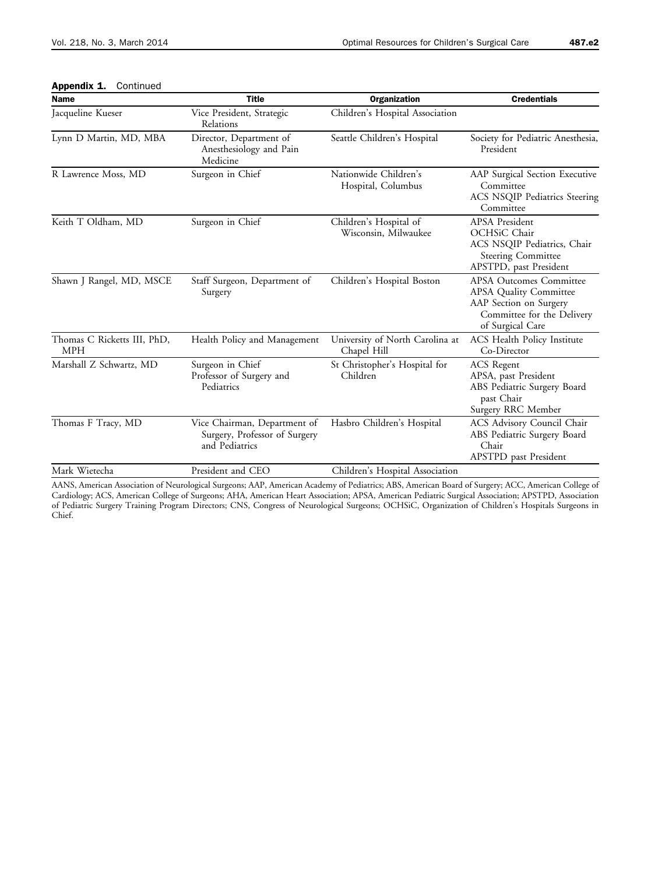| <b>Name</b>                               | <b>Title</b>                                                                    | <b>Organization</b>                            | <b>Credentials</b>                                                                                                                          |
|-------------------------------------------|---------------------------------------------------------------------------------|------------------------------------------------|---------------------------------------------------------------------------------------------------------------------------------------------|
| Jacqueline Kueser                         | Vice President, Strategic<br>Relations                                          | Children's Hospital Association                |                                                                                                                                             |
| Lynn D Martin, MD, MBA                    | Director, Department of<br>Anesthesiology and Pain<br>Medicine                  | Seattle Children's Hospital                    | Society for Pediatric Anesthesia,<br>President                                                                                              |
| R Lawrence Moss, MD                       | Surgeon in Chief                                                                | Nationwide Children's<br>Hospital, Columbus    | AAP Surgical Section Executive<br>Committee<br><b>ACS NSQIP Pediatrics Steering</b><br>Committee                                            |
| Keith T Oldham, MD                        | Surgeon in Chief                                                                | Children's Hospital of<br>Wisconsin, Milwaukee | <b>APSA</b> President<br>OCHSiC Chair<br>ACS NSQIP Pediatrics, Chair<br><b>Steering Committee</b><br>APSTPD, past President                 |
| Shawn J Rangel, MD, MSCE                  | Staff Surgeon, Department of<br>Surgery                                         | Children's Hospital Boston                     | <b>APSA Outcomes Committee</b><br><b>APSA Quality Committee</b><br>AAP Section on Surgery<br>Committee for the Delivery<br>of Surgical Care |
| Thomas C Ricketts III, PhD,<br><b>MPH</b> | Health Policy and Management                                                    | University of North Carolina at<br>Chapel Hill | ACS Health Policy Institute<br>Co-Director                                                                                                  |
| Marshall Z Schwartz, MD                   | Surgeon in Chief<br>Professor of Surgery and<br>Pediatrics                      | St Christopher's Hospital for<br>Children      | <b>ACS</b> Regent<br>APSA, past President<br>ABS Pediatric Surgery Board<br>past Chair<br>Surgery RRC Member                                |
| Thomas F Tracy, MD                        | Vice Chairman, Department of<br>Surgery, Professor of Surgery<br>and Pediatrics | Hasbro Children's Hospital                     | ACS Advisory Council Chair<br>ABS Pediatric Surgery Board<br>Chair<br>APSTPD past President                                                 |
| Mark Wietecha                             | President and CEO                                                               | Children's Hospital Association                |                                                                                                                                             |

## Appendix 1. Continued

AANS, American Association of Neurological Surgeons; AAP, American Academy of Pediatrics; ABS, American Board of Surgery; ACC, American College of Cardiology; ACS, American College of Surgeons; AHA, American Heart Association; APSA, American Pediatric Surgical Association; APSTPD, Association of Pediatric Surgery Training Program Directors; CNS, Congress of Neurological Surgeons; OCHSiC, Organization of Children's Hospitals Surgeons in Chief.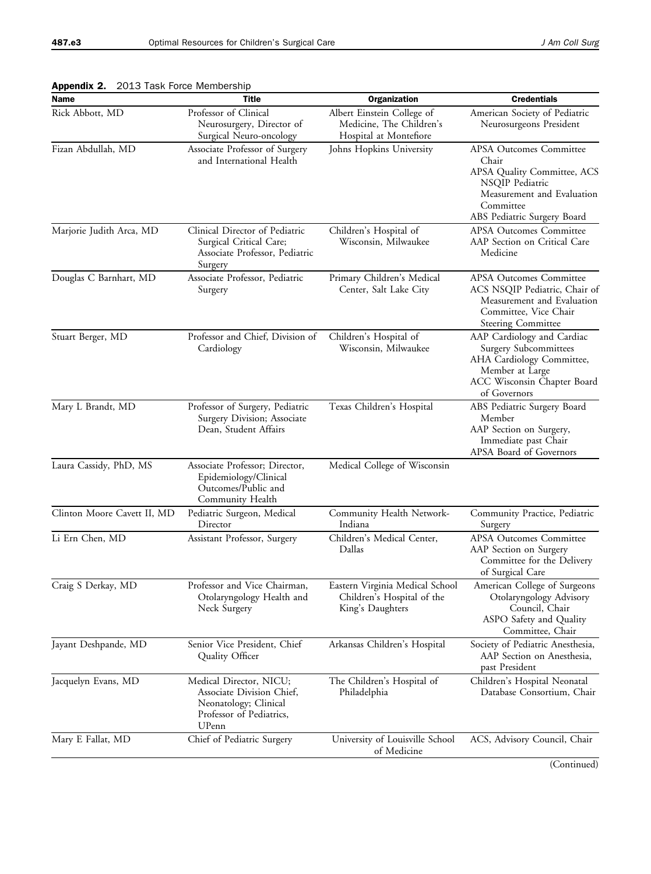| <b>Name</b>                 | <b>Title</b>                                                                                                       | <b>Organization</b>                                                               | <b>Credentials</b>                                                                                                                                                  |
|-----------------------------|--------------------------------------------------------------------------------------------------------------------|-----------------------------------------------------------------------------------|---------------------------------------------------------------------------------------------------------------------------------------------------------------------|
| Rick Abbott, MD             | Professor of Clinical<br>Neurosurgery, Director of<br>Surgical Neuro-oncology                                      | Albert Einstein College of<br>Medicine, The Children's<br>Hospital at Montefiore  | American Society of Pediatric<br>Neurosurgeons President                                                                                                            |
| Fizan Abdullah, MD          | Associate Professor of Surgery<br>and International Health                                                         | Johns Hopkins University                                                          | <b>APSA Outcomes Committee</b><br>Chair<br>APSA Quality Committee, ACS<br>NSQIP Pediatric<br>Measurement and Evaluation<br>Committee<br>ABS Pediatric Surgery Board |
| Marjorie Judith Arca, MD    | Clinical Director of Pediatric<br>Surgical Critical Care;<br>Associate Professor, Pediatric<br>Surgery             | Children's Hospital of<br>Wisconsin, Milwaukee                                    | <b>APSA Outcomes Committee</b><br>AAP Section on Critical Care<br>Medicine                                                                                          |
| Douglas C Barnhart, MD      | Associate Professor, Pediatric<br>Surgery                                                                          | Primary Children's Medical<br>Center, Salt Lake City                              | <b>APSA Outcomes Committee</b><br>ACS NSQIP Pediatric, Chair of<br>Measurement and Evaluation<br>Committee, Vice Chair<br><b>Steering Committee</b>                 |
| Stuart Berger, MD           | Professor and Chief, Division of<br>Cardiology                                                                     | Children's Hospital of<br>Wisconsin, Milwaukee                                    | AAP Cardiology and Cardiac<br><b>Surgery Subcommittees</b><br>AHA Cardiology Committee,<br>Member at Large<br>ACC Wisconsin Chapter Board<br>of Governors           |
| Mary L Brandt, MD           | Professor of Surgery, Pediatric<br>Surgery Division; Associate<br>Dean, Student Affairs                            | Texas Children's Hospital                                                         | ABS Pediatric Surgery Board<br>Member<br>AAP Section on Surgery,<br>Immediate past Chair<br>APSA Board of Governors                                                 |
| Laura Cassidy, PhD, MS      | Associate Professor; Director,<br>Epidemiology/Clinical<br>Outcomes/Public and<br>Community Health                 | Medical College of Wisconsin                                                      |                                                                                                                                                                     |
| Clinton Moore Cavett II, MD | Pediatric Surgeon, Medical<br>Director                                                                             | Community Health Network-<br>Indiana                                              | Community Practice, Pediatric<br>Surgery                                                                                                                            |
| Li Ern Chen, MD             | Assistant Professor, Surgery                                                                                       | Children's Medical Center,<br>Dallas                                              | APSA Outcomes Committee<br>AAP Section on Surgery<br>Committee for the Delivery<br>of Surgical Care                                                                 |
| Craig S Derkay, MD          | Professor and Vice Chairman,<br>Otolaryngology Health and<br>Neck Surgery                                          | Eastern Virginia Medical School<br>Children's Hospital of the<br>King's Daughters | American College of Surgeons<br>Otolaryngology Advisory<br>Council, Chair<br>ASPO Safety and Quality<br>Committee, Chair                                            |
| Jayant Deshpande, MD        | Senior Vice President, Chief<br>Quality Officer                                                                    | Arkansas Children's Hospital                                                      | Society of Pediatric Anesthesia,<br>AAP Section on Anesthesia,<br>past President                                                                                    |
| Jacquelyn Evans, MD         | Medical Director, NICU;<br>Associate Division Chief,<br>Neonatology; Clinical<br>Professor of Pediatrics,<br>UPenn | The Children's Hospital of<br>Philadelphia                                        | Children's Hospital Neonatal<br>Database Consortium, Chair                                                                                                          |
| Mary E Fallat, MD           | Chief of Pediatric Surgery                                                                                         | University of Louisville School<br>of Medicine                                    | ACS, Advisory Council, Chair                                                                                                                                        |
|                             |                                                                                                                    |                                                                                   |                                                                                                                                                                     |

## <span id="page-11-0"></span>Appendix 2. 2013 Task Force Membership

(Continued)